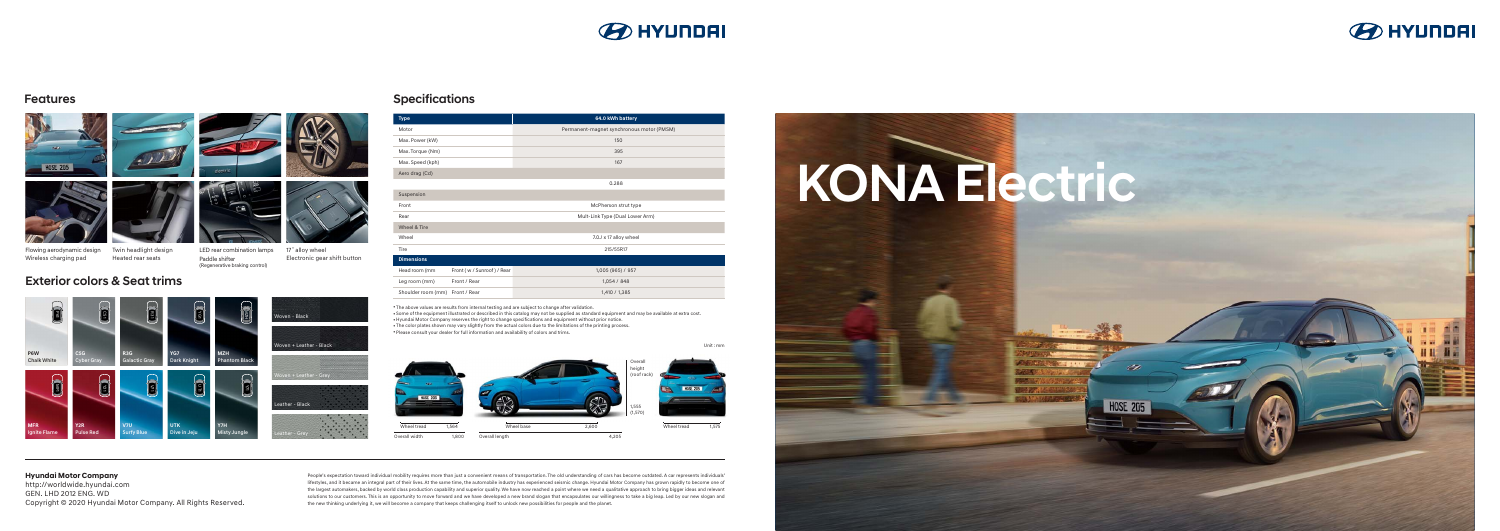# KONA Electric

**HOSE 205** 

● Some of the equipment illustrated or described in this catalog may not be supplied as standard equipment and may be available at extra cost. ● Hyundai Motor Company reserves the right to change specifications and equipment without prior notice. . The color plates shown may vary slightly from the actual colors due to the limitations of the printing process. • Please consult your dealer for full information and availability of colors and trims.

People's expectation toward individual mobility requires more than just a convenient means of transportation. The old understanding of cars has become outdated. A car represents individuals' lifestyles, and it became an integral part of their lives. At the same time, the automobile industry has experienced seismic change. Hyundai Motor Company has grown rapidly to become one of the largest automakers, backed by world class production capability and superior quality. We have now reached a point where we need a qualitative approach to bring bigger ideas and relevant solutions to our customers. This is an opportunity to move forward and we have developed a new brand slogan that encapsulates our willingness to take a big leap. Led by our new slogan and the new thinking underlying it, we will become a company that keeps challenging itself to unlock new possibilities for people and the planet.



Exterior colors & Seat trims MF1 W<sub>21</sub><br>Cyber Gray<br>MF1 Y121 V121 R31<br>MF1 Y121 V121 V12 VG1 || UT1<br>YG1 || UT1 MZH **R3G** Galactic Gray **YG7** Dark Knight **MZH** Phantom Black Woven - Black en + Leather - Black

| <b>Type</b>        |                          | 64.0 kWh battery                          |
|--------------------|--------------------------|-------------------------------------------|
| Motor              |                          | Permanent-magnet synchronous motor (PMSM) |
| Max. Power (kW)    |                          | 150                                       |
| Max. Torque (Nm)   |                          | 395                                       |
| Max. Speed (kph)   |                          | 167                                       |
| Aero drag (Cd)     |                          |                                           |
|                    |                          | 0.288                                     |
| Suspension         |                          |                                           |
| Front              |                          | McPherson strut type                      |
| Rear               |                          | Mult-Link Type (Dual Lower Arm)           |
| Wheel & Tire       |                          |                                           |
| Wheel              |                          | 7.0J x 17 alloy wheel                     |
| Tire               |                          | 215/55R17                                 |
| <b>Dimensions</b>  |                          |                                           |
| Head room (mm      | Front (w/Sunroof) / Rear | 1,005 (965) / 957                         |
| Leg room (mm)      | Front / Rear             | 1,054 / 848                               |
| Shoulder room (mm) | Front / Rear             | 1,410 / 1,385                             |

• The above values are results from internal testing and are subject to change after validation.







**R** 



**Hyundai Motor Company** 

http://worldwide.hyundai.com GEN. LHD 2012 ENG. WD Copyright © 2020 Hyundai Motor Company. All Rights Reserved.

Twin headlight design Heated rear seats Flowing aerodynamic design Wireless charging pad

ຼິ

LED rear combination lamps Paddle shifter (Regenerative braking control)

17˝alloy wheel

Electronic gear shift button

Y71

**P6W** Chalk White

**MFR** Ignite Flame



**C5G** Cyber Gray

**Y2R** Pulse Red **V7U** Surfy Blue **UTK** Dive in Jeju **Y7H** Misty Jungle



Leather - Grey

Unit : mm